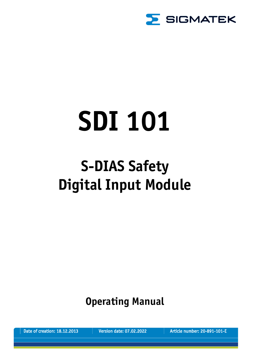

# **SDI 101**

## **S-DIAS Safety Digital Input Module**

**Operating Manual**

Date of creation: 18.12.2013 Version date: 07.02.2022 Article number: 20-891-101-E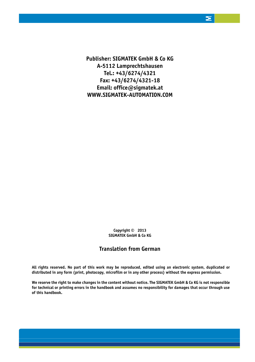**Publisher: SIGMATEK GmbH & Co KG A-5112 Lamprechtshausen Tel.: +43/6274/4321 Fax: +43/6274/4321-18 Email: office@sigmatek.at WWW.SIGMATEK-AUTOMATION.COM**

> **Copyright © 2013 SIGMATEK GmbH & Co KG**

#### **Translation from German**

**All rights reserved. No part of this work may be reproduced, edited using an electronic system, duplicated or distributed in any form (print, photocopy, microfilm or in any other process) without the express permission.**

**We reserve the right to make changes in the content without notice. The SIGMATEK GmbH & Co KG is not responsible for technical or printing errors in the handbook and assumes no responsibility for damages that occur through use of this handbook.**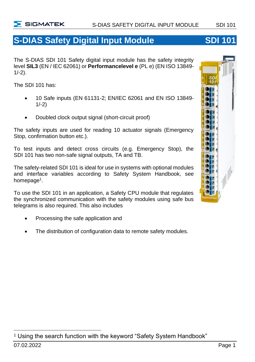

## **S-DIAS Safety Digital Input Module <b>SDI 101**

The S-DIAS SDI 101 Safety digital input module has the safety integrity level **SIL3** (EN / IEC 62061) or **Performancelevel e** (PL e) (EN ISO 13849-  $1/-2$ ).

The SDI 101 has:

- 10 Safe inputs (EN 61131-2; EN/IEC 62061 and EN ISO 13849- 1/-2)
- Doubled clock output signal (short-circuit proof)

The safety inputs are used for reading 10 actuator signals (Emergency Stop, confirmation button etc.).

To test inputs and detect cross circuits (e.g. Emergency Stop), the SDI 101 has two non-safe signal outputs, TA and TB.

The safety-related SDI 101 is ideal for use in systems with optional modules and interface variables according to Safety System Handbook, see homepage<sup>1</sup>.

To use the SDI 101 in an application, a Safety CPU module that regulates the synchronized communication with the safety modules using safe bus telegrams is also required. This also includes

- Processing the safe application and
- The distribution of configuration data to remote safety modules.



<sup>&</sup>lt;sup>1</sup> Using the search function with the keyword "Safety System Handbook"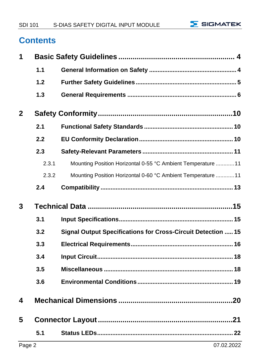

## **Contents**

| 1              |       |                                                                     |
|----------------|-------|---------------------------------------------------------------------|
|                | 1.1   |                                                                     |
|                | 1.2   |                                                                     |
|                | 1.3   |                                                                     |
| $\overline{2}$ |       |                                                                     |
|                | 2.1   |                                                                     |
|                | 2.2   |                                                                     |
|                | 2.3   |                                                                     |
|                | 2.3.1 | Mounting Position Horizontal 0-55 °C Ambient Temperature  11        |
|                | 2.3.2 | Mounting Position Horizontal 0-60 °C Ambient Temperature  11        |
|                | 2.4   |                                                                     |
|                |       |                                                                     |
| 3              |       |                                                                     |
|                | 3.1   |                                                                     |
|                | 3.2   | <b>Signal Output Specifications for Cross-Circuit Detection  15</b> |
|                | 3.3   |                                                                     |
|                | 3.4   |                                                                     |
|                | 3.5   |                                                                     |
|                | 3.6   |                                                                     |
| 4              |       |                                                                     |
| 5              |       |                                                                     |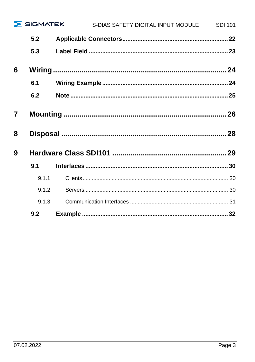|                |       | SIGMATEK S-DIAS SAFETY DIGITAL INPUT MODULE SDI 101 |  |
|----------------|-------|-----------------------------------------------------|--|
|                | 5.2   |                                                     |  |
|                | 5.3   |                                                     |  |
| 6              |       |                                                     |  |
|                | 6.1   |                                                     |  |
|                | 6.2   |                                                     |  |
| $\overline{7}$ |       |                                                     |  |
| 8              |       |                                                     |  |
| 9              |       |                                                     |  |
|                | 9.1   |                                                     |  |
|                | 9.1.1 |                                                     |  |
|                | 9.1.2 |                                                     |  |
|                | 9.1.3 |                                                     |  |
|                | 9.2   |                                                     |  |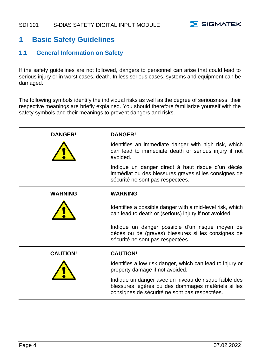

#### <span id="page-5-0"></span>**1 Basic Safety Guidelines**

#### <span id="page-5-1"></span>**1.1 General Information on Safety**

If the safety guidelines are not followed, dangers to personnel can arise that could lead to serious injury or in worst cases, death. In less serious cases, systems and equipment can be damaged.

The following symbols identify the individual risks as well as the degree of seriousness; their respective meanings are briefly explained. You should therefore familiarize yourself with the safety symbols and their meanings to prevent dangers and risks.

| <b>DANGER!</b>  | <b>DANGER!</b>                                                                                                                                               |
|-----------------|--------------------------------------------------------------------------------------------------------------------------------------------------------------|
|                 | Identifies an immediate danger with high risk, which<br>can lead to immediate death or serious injury if not<br>avoided.                                     |
|                 | Indique un danger direct à haut risque d'un décès<br>immédiat ou des blessures graves si les consignes de<br>sécurité ne sont pas respectées.                |
| <b>WARNING</b>  | <b>WARNING</b>                                                                                                                                               |
|                 | Identifies a possible danger with a mid-level risk, which<br>can lead to death or (serious) injury if not avoided.                                           |
|                 | Indique un danger possible d'un risque moyen de<br>décès ou de (graves) blessures si les consignes de<br>sécurité ne sont pas respectées.                    |
| <b>CAUTION!</b> | <b>CAUTION!</b>                                                                                                                                              |
|                 | Identifies a low risk danger, which can lead to injury or<br>property damage if not avoided.                                                                 |
|                 | Indique un danger avec un niveau de risque faible des<br>blessures légères ou des dommages matériels si les<br>consignes de sécurité ne sont pas respectées. |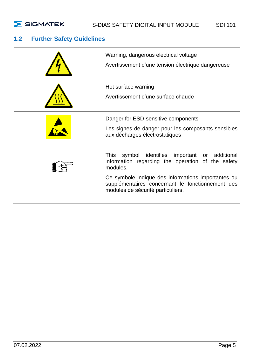

#### <span id="page-6-0"></span>**1.2 Further Safety Guidelines**

| Warning, dangerous electrical voltage<br>Avertissement d'une tension électrique dangereuse                                                  |  |
|---------------------------------------------------------------------------------------------------------------------------------------------|--|
| Hot surface warning<br>Avertissement d'une surface chaude                                                                                   |  |
| Danger for ESD-sensitive components<br>Les signes de danger pour les composants sensibles<br>aux décharges électrostatiques                 |  |
| symbol identifies<br>important or<br>additional<br>This<br>information regarding the operation of the safety<br>modules.                    |  |
| Ce symbole indique des informations importantes ou<br>supplémentaires concernant le fonctionnement des<br>modules de sécurité particuliers. |  |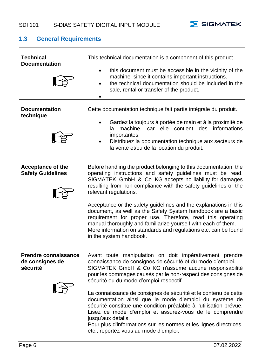

#### <span id="page-7-0"></span>**1.3 General Requirements**

| <b>Technical</b><br><b>Documentation</b>                   | This technical documentation is a component of this product.<br>this document must be accessible in the vicinity of the<br>machine, since it contains important instructions.<br>the technical documentation should be included in the<br>$\bullet$<br>sale, rental or transfer of the product.                                                                                                                                                                                                                                                                                                                                                                                             |  |
|------------------------------------------------------------|---------------------------------------------------------------------------------------------------------------------------------------------------------------------------------------------------------------------------------------------------------------------------------------------------------------------------------------------------------------------------------------------------------------------------------------------------------------------------------------------------------------------------------------------------------------------------------------------------------------------------------------------------------------------------------------------|--|
| <b>Documentation</b><br>technique                          | Cette documentation technique fait partie intégrale du produit.<br>Gardez la toujours à portée de main et à la proximité de<br>la machine, car elle contient des<br>informations<br>importantes.<br>Distribuez la documentation technique aux secteurs de<br>la vente et/ou de la location du produit.                                                                                                                                                                                                                                                                                                                                                                                      |  |
| <b>Acceptance of the</b><br><b>Safety Guidelines</b>       | Before handling the product belonging to this documentation, the<br>operating instructions and safety guidelines must be read.<br>SIGMATEK GmbH & Co KG accepts no liability for damages<br>resulting from non-compliance with the safety guidelines or the<br>relevant regulations.<br>Acceptance or the safety guidelines and the explanations in this<br>document, as well as the Safety System handbook are a basic<br>requirement for proper use. Therefore, read this operating<br>manual thoroughly and familiarize yourself with each of them.<br>More information on standards and regulations etc. can be found<br>in the system handbook.                                        |  |
| <b>Prendre connaissance</b><br>de consignes de<br>sécurité | Avant toute manipulation on doit impérativement prendre<br>connaissance de consignes de sécurité et du mode d'emploi.<br>SIGMATEK GmbH & Co KG n'assume aucune responsabilité<br>pour les dommages causés par le non-respect des consignes de<br>sécurité ou du mode d'emploi respectif.<br>La connaissance de consignes de sécurité et le contenu de cette<br>documentation ainsi que le mode d'emploi du système de<br>sécurité constitue une condition préalable à l'utilisation prévue.<br>Lisez ce mode d'emploi et assurez-vous de le comprendre<br>jusqu'aux détails.<br>Pour plus d'informations sur les normes et les lignes directrices,<br>etc., reportez-vous au mode d'emploi. |  |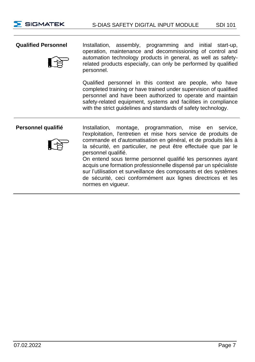

**Qualified Personnel** Installation, assembly, programming and initial start-up, operation, maintenance and decommissioning of control and automation technology products in general, as well as safetyrelated products especially, can only be performed by qualified personnel.

> Qualified personnel in this context are people, who have completed training or have trained under supervision of qualified personnel and have been authorized to operate and maintain safety-related equipment, systems and facilities in compliance with the strict guidelines and standards of safety technology.



**Personnel qualifié** Installation, montage, programmation, mise en service, l'exploitation, l'entretien et mise hors service de produits de commande et d'automatisation en général, et de produits liés à la sécurité, en particulier, ne peut être effectuée que par le personnel qualifié.

On entend sous terme personnel qualifié les personnes ayant acquis une formation professionnelle dispensé par un spécialiste sur l'utilisation et surveillance des composants et des systèmes de sécurité, ceci conformément aux lignes directrices et les normes en vigueur.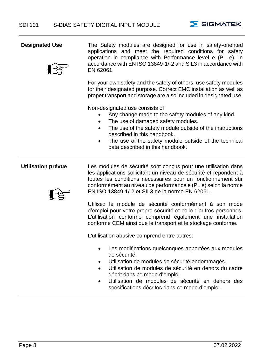



**Designated Use** The Safety modules are designed for use in safety-oriented applications and meet the required conditions for safety operation in compliance with Performance level e (PL e), in accordance with EN ISO 13849-1/-2 and SIL3 in accordance with EN 62061.

> For your own safety and the safety of others, use safety modules for their designated purpose. Correct EMC installation as well as proper transport and storage are also included in designated use.

Non-designated use consists of

- Any change made to the safety modules of any kind.
- The use of damaged safety modules.
- The use of the safety module outside of the instructions described in this handbook.
- The use of the safety module outside of the technical data described in this handbook.



**Utilisation prévue** Les modules de sécurité sont conçus pour une utilisation dans les applications sollicitant un niveau de sécurité et répondent à toutes les conditions nécessaires pour un fonctionnement sûr conformément au niveau de performance e (PL e) selon la norme EN ISO 13849-1/-2 et SIL3 de la norme EN 62061.

> Utilisez le module de sécurité conformément à son mode d'emploi pour votre propre sécurité et celle d'autres personnes. L'utilisation conforme comprend également une installation conforme CEM ainsi que le transport et le stockage conforme.

L'utilisation abusive comprend entre autres:

- Les modifications quelconques apportées aux modules de sécurité.
- Utilisation de modules de sécurité endommagés.
- Utilisation de modules de sécurité en dehors du cadre décrit dans ce mode d'emploi.
- Utilisation de modules de sécurité en dehors des spécifications décrites dans ce mode d'emploi.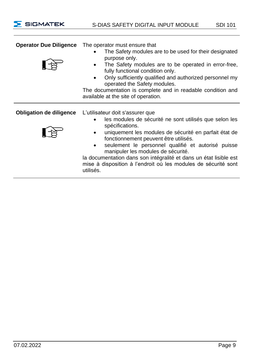| <b>Operator Due Diligence</b>  | The operator must ensure that<br>The Safety modules are to be used for their designated<br>$\bullet$<br>purpose only.<br>The Safety modules are to be operated in error-free,<br>٠<br>fully functional condition only.<br>Only sufficiently qualified and authorized personnel my<br>operated the Safety modules.<br>The documentation is complete and in readable condition and |
|--------------------------------|----------------------------------------------------------------------------------------------------------------------------------------------------------------------------------------------------------------------------------------------------------------------------------------------------------------------------------------------------------------------------------|
|                                | available at the site of operation.                                                                                                                                                                                                                                                                                                                                              |
| <b>Obligation de diligence</b> | L'utilisateur doit s'assurer que<br>les modules de sécurité ne sont utilisés que selon les<br>$\bullet$                                                                                                                                                                                                                                                                          |
|                                | spécifications.<br>uniquement les modules de sécurité en parfait état de<br>fonctionnement peuvent être utilisés.<br>seulement le personnel qualifié et autorisé puisse<br>٠<br>manipuler les modules de sécurité.<br>la documentation dans son intégralité et dans un état lisible est<br>mise à disposition à l'endroit où les modules de sécurité sont<br>utilisés.           |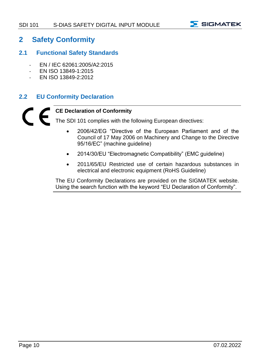

#### <span id="page-11-0"></span>**2 Safety Conformity**

#### <span id="page-11-1"></span>**2.1 Functional Safety Standards**

- EN / IEC 62061:2005/A2:2015
- EN ISO 13849-1:2015
- EN ISO 13849-2:2012

#### <span id="page-11-2"></span>**2.2 EU Conformity Declaration**

#### **CE Declaration of Conformity**

The SDI 101 complies with the following European directives:

- 2006/42/EG "Directive of the European Parliament and of the Council of 17 May 2006 on Machinery and Change to the Directive 95/16/EC" (machine guideline)
- 2014/30/EU "Electromagnetic Compatibility" (EMC guideline)
- 2011/65/EU Restricted use of certain hazardous substances in electrical and electronic equipment (RoHS Guideline)

The EU Conformity Declarations are provided on the SIGMATEK website. Using the search function with the keyword "EU Declaration of Conformity".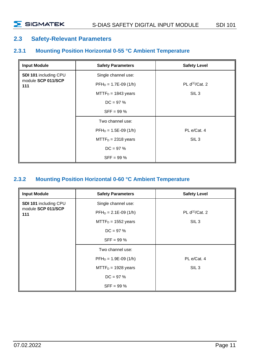#### <span id="page-12-0"></span>**2.3 Safety-Relevant Parameters**

#### <span id="page-12-1"></span>**2.3.1 Mounting Position Horizontal 0-55 °C Ambient Temperature**

| <b>Input Module</b>       | <b>Safety Parameters</b> | <b>Safety Level</b>  |
|---------------------------|--------------------------|----------------------|
| SDI 101 including CPU     | Single channel use:      |                      |
| module SCP 011/SCP<br>111 | $PFH_D = 1.7E-09(1/h)$   | PL $d^{(1)}$ /Cat. 2 |
|                           | $MTTFD = 1843 years$     | SIL <sub>3</sub>     |
|                           | $DC = 97%$               |                      |
|                           | $SFF = 99 \%$            |                      |
|                           | Two channel use:         |                      |
|                           | $PFH_D = 1.5E-09(1/h)$   | PL e/Cat. 4          |
|                           | $MTTFD = 2318$ years     | SIL <sub>3</sub>     |
|                           | $DC = 97%$               |                      |
|                           | $SFF = 99 %$             |                      |

#### <span id="page-12-2"></span>**2.3.2 Mounting Position Horizontal 0-60 °C Ambient Temperature**

| <b>Input Module</b>       | <b>Safety Parameters</b> | <b>Safety Level</b>  |
|---------------------------|--------------------------|----------------------|
| SDI 101 including CPU     | Single channel use:      |                      |
| module SCP 011/SCP<br>111 | $PFH_D = 2.1E-09(1/h)$   | PL $d^{(1)}$ /Cat. 2 |
|                           | $MTTFD = 1552 years$     | SIL <sub>3</sub>     |
|                           | $DC = 97 \%$             |                      |
|                           | $SFF = 99 \%$            |                      |
|                           | Two channel use:         |                      |
|                           | $PFH_D = 1.9E-09(1/h)$   | PL e/Cat. 4          |
|                           | $MTTFD = 1928 years$     | SIL <sub>3</sub>     |
|                           | $DC = 97 \%$             |                      |
|                           | $SFF = 99 %$             |                      |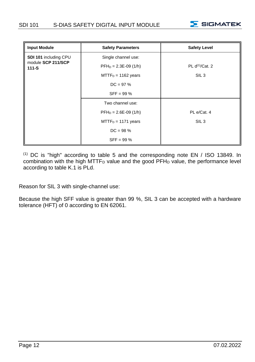

| <b>Input Module</b>             | <b>Safety Parameters</b> | <b>Safety Level</b>         |
|---------------------------------|--------------------------|-----------------------------|
| SDI 101 including CPU           | Single channel use:      |                             |
| module SCP 211/SCP<br>$111 - S$ | $PFH_D = 2.3E-09(1/h)$   | PL d <sup>(1)</sup> /Cat. 2 |
|                                 | $MTTFD = 1162 years$     | SIL <sub>3</sub>            |
|                                 | $DC = 97 %$              |                             |
|                                 | $SFF = 99 \%$            |                             |
|                                 | Two channel use:         |                             |
|                                 | $PFH_D = 2.6E-09(1/h)$   | PL e/Cat. 4                 |
|                                 | $MTTFD = 1171 years$     | SIL <sub>3</sub>            |
|                                 | $DC = 98 \%$             |                             |
|                                 | $SFF = 99 \%$            |                             |

(1) DC is "high" according to table 5 and the corresponding note EN / ISO 13849. In combination with the high MTTF<sub>D</sub> value and the good PFH<sub>D</sub> value, the performance level according to table K.1 is PLd.

Reason for SIL 3 with single-channel use:

Because the high SFF value is greater than 99 %, SIL 3 can be accepted with a hardware tolerance (HFT) of 0 according to EN 62061.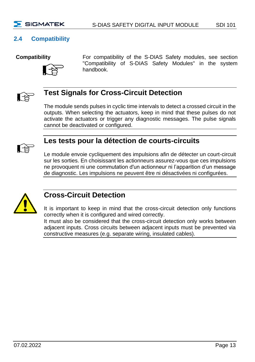

#### <span id="page-14-0"></span>**2.4 Compatibility**



**Compatibility For compatibility of the S-DIAS Safety modules, see section** "Compatibility of S-DIAS Safety Modules" in the system handbook.



### **Test Signals for Cross-Circuit Detection**

The module sends pulses in cyclic time intervals to detect a crossed circuit in the outputs. When selecting the actuators, keep in mind that these pulses do not activate the actuators or trigger any diagnostic messages. The pulse signals cannot be deactivated or configured.



#### **Les tests pour la détection de courts-circuits**

Le module envoie cycliquement des impulsions afin de détecter un court-circuit sur les sorties. En choisissant les actionneurs assurez-vous que ces impulsions ne provoquent ni une commutation d'un actionneur ni l'apparition d'un message de diagnostic. Les impulsions ne peuvent être ni désactivées ni configurées.



#### **Cross-Circuit Detection**

It is important to keep in mind that the cross-circuit detection only functions correctly when it is configured and wired correctly.

It must also be considered that the cross-circuit detection only works between adjacent inputs. Cross circuits between adjacent inputs must be prevented via constructive measures (e.g. separate wiring, insulated cables).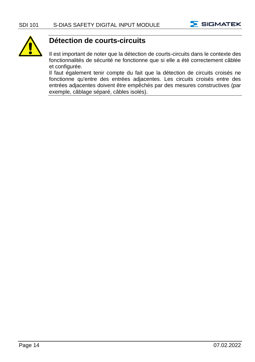



#### **Détection de courts-circuits**

Il est important de noter que la détection de courts-circuits dans le contexte des fonctionnalités de sécurité ne fonctionne que si elle a été correctement câblée et configurée.

Il faut également tenir compte du fait que la détection de circuits croisés ne fonctionne qu'entre des entrées adjacentes. Les circuits croisés entre des entrées adjacentes doivent être empêchés par des mesures constructives (par exemple, câblage séparé, câbles isolés).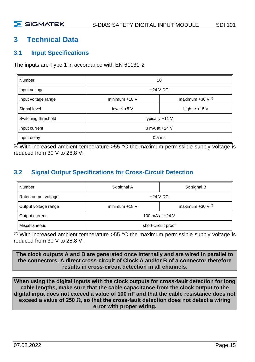#### <span id="page-16-0"></span>**3 Technical Data**

#### <span id="page-16-1"></span>**3.1 Input Specifications**

The inputs are Type 1 in accordance with EN 61131-2

| Number              | 10                                                |  |
|---------------------|---------------------------------------------------|--|
| Input voltage       | $+24$ V DC                                        |  |
| Input voltage range | maximum $+30$ V <sup>(1)</sup><br>minimum $+18$ V |  |
| Signal level        | low: $\leq +5$ V<br>high: $\ge$ +15 V             |  |
| Switching threshold | typically +11 V                                   |  |
| Input current       | 3 mA at +24 V                                     |  |
| Input delay         | 0.5 <sub>ms</sub>                                 |  |

 $<sup>(1)</sup>$  With increased ambient temperature >55 °C the maximum permissible supply voltage is</sup> reduced from 30 V to 28.8 V.

#### <span id="page-16-2"></span>**3.2 Signal Output Specifications for Cross-Circuit Detection**

| Number               | 5x signal A         | 5x signal B           |
|----------------------|---------------------|-----------------------|
| Rated output voltage | $+24$ V DC          |                       |
| Output voltage range | minimum $+18$ V     | maximum +30 $V^{(2)}$ |
| Output current       | 100 mA at +24 V     |                       |
| <b>Miscellaneous</b> | short-circuit proof |                       |

 $(2)$  With increased ambient temperature >55 °C the maximum permissible supply voltage is reduced from 30 V to 28.8 V.

**The clock outputs A and B are generated once internally and are wired in parallel to the connectors. A direct cross-circuit of Clock A and/or B of a connector therefore results in cross-circuit detection in all channels.**

**When using the digital inputs with the clock outputs for cross-fault detection for long cable lengths, make sure that the cable capacitance from the clock output to the digital input does not exceed a value of 100 nF and that the cable resistance does not exceed a value of 250 Ω, so that the cross-fault detection does not detect a wiring error with proper wiring.**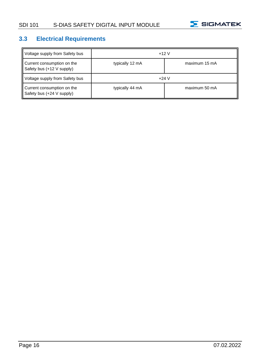

#### <span id="page-17-0"></span>**3.3 Electrical Requirements**

| Voltage supply from Safety bus                          | $+12V$          |               |
|---------------------------------------------------------|-----------------|---------------|
| Current consumption on the<br>Safety bus (+12 V supply) | typically 12 mA | maximum 15 mA |
| Voltage supply from Safety bus                          | $+24V$          |               |
| Current consumption on the<br>Safety bus (+24 V supply) | typically 44 mA | maximum 50 mA |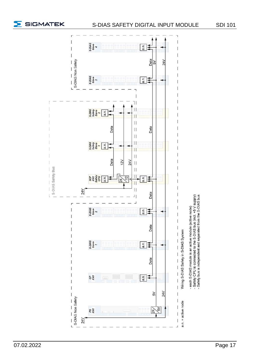

ľ

Í

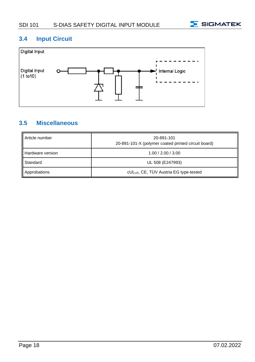

#### <span id="page-19-0"></span>**3.4 Input Circuit**



#### <span id="page-19-1"></span>**3.5 Miscellaneous**

| Article number   | 20-891-101<br>20-891-101-X (polymer coated printed circuit board) |
|------------------|-------------------------------------------------------------------|
| Hardware version | 1.00 / 2.00 / 3.00                                                |
| Standard         | UL 508 (E247993)                                                  |
| Approbations     | cUL <sub>US</sub> , CE, TÜV Austria EG type-tested                |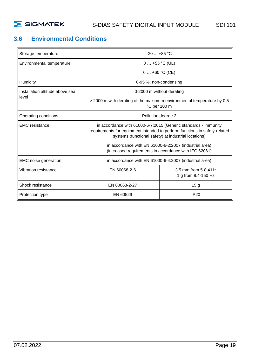

#### <span id="page-20-0"></span>**3.6 Environmental Conditions**

| Storage temperature             | $-20$ $+85$ °C                                                                                                                                                                                        |                                                                                                                 |  |  |  |
|---------------------------------|-------------------------------------------------------------------------------------------------------------------------------------------------------------------------------------------------------|-----------------------------------------------------------------------------------------------------------------|--|--|--|
| Environmental temperature       | $0+55$ °C (UL)                                                                                                                                                                                        |                                                                                                                 |  |  |  |
|                                 |                                                                                                                                                                                                       | $0+60 °C$ (CE)                                                                                                  |  |  |  |
| Humidity                        | 0-95 %, non-condensing                                                                                                                                                                                |                                                                                                                 |  |  |  |
| Installation altitude above sea |                                                                                                                                                                                                       | 0-2000 m without derating                                                                                       |  |  |  |
| level                           |                                                                                                                                                                                                       | > 2000 m with derating of the maximum environmental temperature by 0.5<br>°C per 100 m                          |  |  |  |
| Operating conditions            |                                                                                                                                                                                                       | Pollution degree 2                                                                                              |  |  |  |
| <b>EMC</b> resistance           | in accordance with 61000-6-7:2015 (Generic standards - Immunity<br>requirements for equipment intended to perform functions in safety-related<br>systems (functional safety) at industrial locations) |                                                                                                                 |  |  |  |
|                                 |                                                                                                                                                                                                       | in accordance with EN 61000-6-2:2007 (industrial area)<br>(increased requirements in accordance with IEC 62061) |  |  |  |
| EMC noise generation            | in accordance with EN 61000-6-4:2007 (industrial area)                                                                                                                                                |                                                                                                                 |  |  |  |
| Vibration resistance            | 3.5 mm from 5-8.4 Hz<br>EN 60068-2-6<br>1 g from 8.4-150 Hz                                                                                                                                           |                                                                                                                 |  |  |  |
| Shock resistance                | EN 60068-2-27                                                                                                                                                                                         | 15 <sub>g</sub>                                                                                                 |  |  |  |
| Protection type                 | <b>IP20</b><br>EN 60529                                                                                                                                                                               |                                                                                                                 |  |  |  |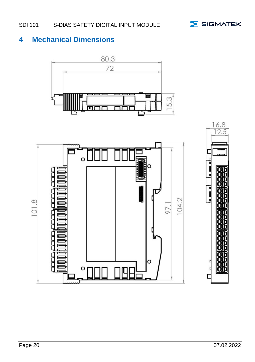

## <span id="page-21-0"></span>**4 Mechanical Dimensions**



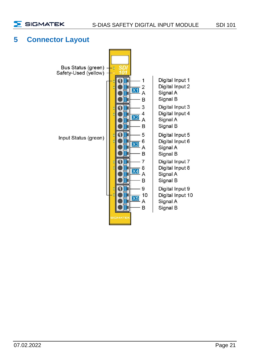

#### <span id="page-22-0"></span>**5 Connector Layout**

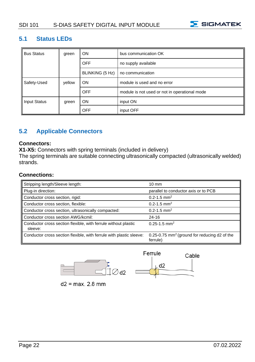

#### <span id="page-23-0"></span>**5.1 Status LEDs**

| <b>Bus Status</b>   | green  | ON              | bus communication OK                          |
|---------------------|--------|-----------------|-----------------------------------------------|
|                     |        | OFF             | no supply available                           |
|                     |        | BLINKING (5 Hz) | no communication                              |
| Safety-Used         | yellow | ON              | module is used and no error                   |
|                     |        | <b>OFF</b>      | module is not used or not in operational mode |
| <b>Input Status</b> | green  | ON              | input ON                                      |
|                     |        | <b>OFF</b>      | input OFF                                     |

#### <span id="page-23-1"></span>**5.2 Applicable Connectors**

#### **Connectors:**

**X1-X5:** Connectors with spring terminals (included in delivery)

The spring terminals are suitable connecting ultrasonically compacted (ultrasonically welded) strands.

#### **Connections:**

| Stripping length/Sleeve length:                                           | $10 \text{ mm}$                                                          |
|---------------------------------------------------------------------------|--------------------------------------------------------------------------|
| Plug-in direction:                                                        | parallel to conductor axis or to PCB                                     |
| Conductor cross section, rigid:                                           | $0.2 - 1.5$ mm <sup>2</sup>                                              |
| Conductor cross section, flexible:                                        | $0.2 - 1.5$ mm <sup>2</sup>                                              |
| Conductor cross section, ultrasonically compacted:                        | $0.2 - 1.5$ mm <sup>2</sup>                                              |
| Conductor cross section AWG/kcmil:                                        | $24 - 16$                                                                |
| Conductor cross section flexible, with ferrule without plastic<br>sleeve: | $0.25 - 1.5$ mm <sup>2</sup>                                             |
| Conductor cross section flexible, with ferrule with plastic sleeve:       | $0.25 - 0.75$ mm <sup>2</sup> (ground for reducing d2 of the<br>ferrule) |





 $d2 = max$ . 2.8 mm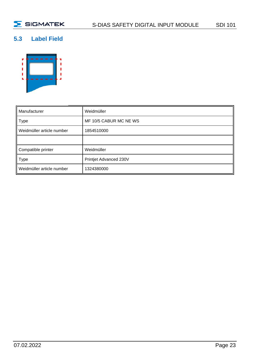#### <span id="page-24-0"></span>**5.3 Label Field**



| Manufacturer              | Weidmüller             |  |  |  |
|---------------------------|------------------------|--|--|--|
| Type                      | MF 10/5 CABUR MC NE WS |  |  |  |
| Weidmüller article number | 1854510000             |  |  |  |
|                           |                        |  |  |  |
| Compatible printer        | Weidmüller             |  |  |  |
| Type                      | Printjet Advanced 230V |  |  |  |
| Weidmüller article number | 1324380000             |  |  |  |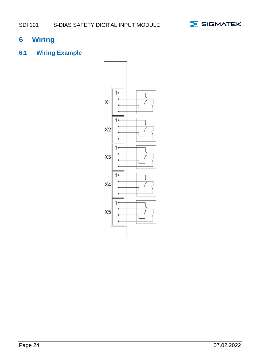

#### <span id="page-25-0"></span>**6 Wiring**

#### <span id="page-25-1"></span>**6.1 Wiring Example**

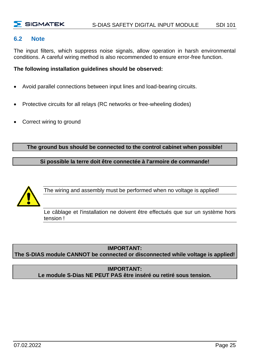#### <span id="page-26-0"></span>**6.2 Note**

The input filters, which suppress noise signals, allow operation in harsh environmental conditions. A careful wiring method is also recommended to ensure error-free function.

**The following installation guidelines should be observed:**

- Avoid parallel connections between input lines and load-bearing circuits.
- Protective circuits for all relays (RC networks or free-wheeling diodes)
- Correct wiring to ground

**The ground bus should be connected to the control cabinet when possible!**

**Si possible la terre doit être connectée à l'armoire de commande!**



The wiring and assembly must be performed when no voltage is applied!

Le câblage et l'installation ne doivent être effectués que sur un système hors tension !

#### **IMPORTANT:**

**The S-DIAS module CANNOT be connected or disconnected while voltage is applied!**

#### **IMPORTANT: Le module S-Dias NE PEUT PAS être inséré ou retiré sous tension.**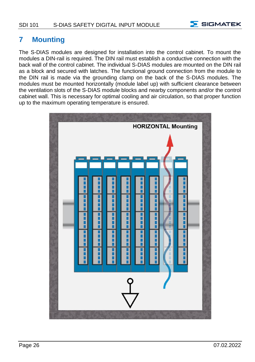

#### <span id="page-27-0"></span>**7 Mounting**

The S-DIAS modules are designed for installation into the control cabinet. To mount the modules a DIN-rail is required. The DIN rail must establish a conductive connection with the back wall of the control cabinet. The individual S-DIAS modules are mounted on the DIN rail as a block and secured with latches. The functional ground connection from the module to the DIN rail is made via the grounding clamp on the back of the S-DIAS modules. The modules must be mounted horizontally (module label up) with sufficient clearance between the ventilation slots of the S-DIAS module blocks and nearby components and/or the control cabinet wall. This is necessary for optimal cooling and air circulation, so that proper function up to the maximum operating temperature is ensured.

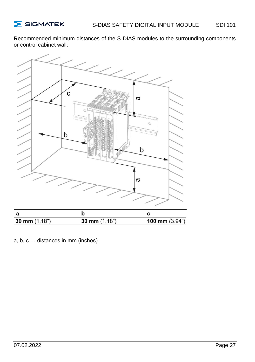Recommended minimum distances of the S-DIAS modules to the surrounding components or control cabinet wall:



a, b, c … distances in mm (inches)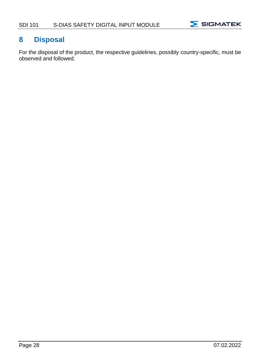

#### <span id="page-29-0"></span>**8 Disposal**

For the disposal of the product, the respective guidelines, possibly country-specific, must be observed and followed.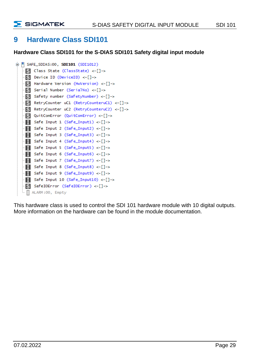

#### <span id="page-30-0"></span>**9 Hardware Class SDI101**

**Hardware Class SDI101 for the S-DIAS SDI101 Safety digital input module** 

```
B F SAFE_SDIAS:00, SDI101 (SDI1012)
Class State (ClassState) <-[]->
 \Theta Device ID (DeviceID) <-[]->
S Hardware Version (HwVersion) <-[]->
S Serial Number (SerialNo) <-[]->
S Safety number (SafetyNumber) <-[]->
R RetryCounter uC1 (RetryCounteruC1) <-[]->
R RetryCounter uC2 (RetryCounteruC2) <-[]->
QuitComError (QuitComError) <-[]->
Safe Input 1 (Safe_{n}Input1) < -[]\rightarrowSafe Input 2 (Safe_Input2) <-[]->
Safe Input 3 (Safe_{n}Input3) < -[]\rightarrowSafe Input 4 (Safe_Input4) <-[]->
Safe Input 5 (Safe_Input5) <-[]->
Safe Input 6 (Safe_Input6) <-[]->
Safe Input 7 (Safe_Input7) <-[]->
Safe Input 8 (Safe_Input8) <-[]->
Safe Input 9 (Safe_Input9) <-[]->
Safe Input 10 (Safe_1nput10) < -[] \rightarrowS SafeIOError (SafeIOError) <-[]->
ALARM:00, Empty
```
This hardware class is used to control the SDI 101 hardware module with 10 digital outputs. More information on the hardware can be found in the module documentation.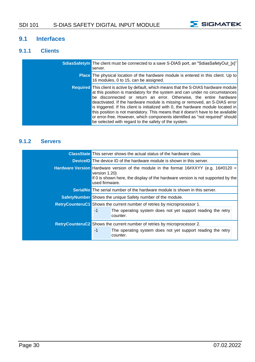

#### <span id="page-31-0"></span>**9.1 Interfaces**

#### <span id="page-31-1"></span>**9.1.1 Clients**

| SdiasSafetyIn The client must be connected to a save S-DIAS port, an "SdiasSafetyOut [x]"<br>server.                                                                                                                                                                                                                                                                                                                                                                                                                                                                                                                                             |
|--------------------------------------------------------------------------------------------------------------------------------------------------------------------------------------------------------------------------------------------------------------------------------------------------------------------------------------------------------------------------------------------------------------------------------------------------------------------------------------------------------------------------------------------------------------------------------------------------------------------------------------------------|
| <b>Place</b> The physical location of the hardware module is entered in this client. Up to<br>16 modules, 0 to 15, can be assigned.                                                                                                                                                                                                                                                                                                                                                                                                                                                                                                              |
| <b>Required</b> This client is active by default, which means that the S-DIAS hardware module<br>at this position is mandatory for the system and can under no circumstances<br>be disconnected or return an error. Otherwise, the entire hardware<br>deactivated. If the hardware module is missing or removed, an S-DIAS error<br>is triggered. If his client is initialized with 0, the hardware module located in<br>this position is not mandatory. This means that it doesn't have to be available<br>or error-free. However, which components identified as "not required" should<br>be selected with regard to the safety of the system. |

#### <span id="page-31-2"></span>**9.1.2 Servers**

|                                                                                                                                                                                                                          | <b>ClassState</b> This server shows the actual status of the hardware class. |  |  |  |  |
|--------------------------------------------------------------------------------------------------------------------------------------------------------------------------------------------------------------------------|------------------------------------------------------------------------------|--|--|--|--|
|                                                                                                                                                                                                                          | <b>DeviceD</b> The device ID of the hardware module is shown in this server. |  |  |  |  |
| <b>Hardware Version</b> Hardware version of the module in the format $16\#XXYY$ (e.g. $16\#0120 =$<br>version 1.20)<br>If 0 is shown here, the display of the hardware version is not supported by the<br>used firmware. |                                                                              |  |  |  |  |
| <b>SerialNo</b> The serial number of the hardware module is shown in this server.                                                                                                                                        |                                                                              |  |  |  |  |
| Safety Number Shows the unique Safety number of the module.                                                                                                                                                              |                                                                              |  |  |  |  |
| RetryCounteruC1 Shows the current number of retries by microprocessor 1.                                                                                                                                                 |                                                                              |  |  |  |  |
| $-1$                                                                                                                                                                                                                     | The operating system does not yet support reading the retry<br>counter.      |  |  |  |  |
|                                                                                                                                                                                                                          | RetryCounteruC2 Shows the current number of retries by microprocessor 2.     |  |  |  |  |
| $-1$                                                                                                                                                                                                                     | The operating system does not yet support reading the retry<br>counter.      |  |  |  |  |
|                                                                                                                                                                                                                          |                                                                              |  |  |  |  |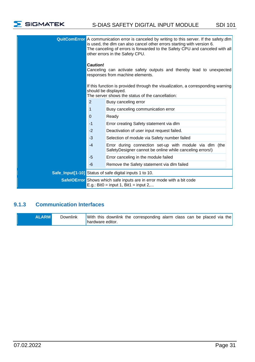

| <b>QuitComError</b> A communication error is canceled by writing to this server. If the safety dlm<br>is used, the dlm can also cancel other errors starting with version 6.<br>The canceling of errors is forwarded to the Safety CPU and canceled with all<br>other errors in the Safety CPU.<br>Caution!<br>Canceling can activate safety outputs and thereby lead to unexpected<br>responses from machine elements. |                                                                                                                     |  |  |  |
|-------------------------------------------------------------------------------------------------------------------------------------------------------------------------------------------------------------------------------------------------------------------------------------------------------------------------------------------------------------------------------------------------------------------------|---------------------------------------------------------------------------------------------------------------------|--|--|--|
| If this function is provided through the visualization, a corresponding warning<br>should be displayed.<br>The server shows the status of the cancellation:                                                                                                                                                                                                                                                             |                                                                                                                     |  |  |  |
| $\mathfrak{p}$                                                                                                                                                                                                                                                                                                                                                                                                          | Busy canceling error                                                                                                |  |  |  |
| 1                                                                                                                                                                                                                                                                                                                                                                                                                       | Busy canceling communication error                                                                                  |  |  |  |
| $\Omega$                                                                                                                                                                                                                                                                                                                                                                                                                | Ready                                                                                                               |  |  |  |
| $-1$                                                                                                                                                                                                                                                                                                                                                                                                                    | Error creating Safety statement via dlm                                                                             |  |  |  |
| $-2$                                                                                                                                                                                                                                                                                                                                                                                                                    | Deactivation of user input request failed.                                                                          |  |  |  |
| $-3$                                                                                                                                                                                                                                                                                                                                                                                                                    | Selection of module via Safety number failed                                                                        |  |  |  |
| $-4$                                                                                                                                                                                                                                                                                                                                                                                                                    | Error during connection set-up with module via dlm (the<br>SafetyDesigner cannot be online while canceling errors!) |  |  |  |
| $-5$                                                                                                                                                                                                                                                                                                                                                                                                                    | Error canceling in the module failed                                                                                |  |  |  |
| $-6$                                                                                                                                                                                                                                                                                                                                                                                                                    | Remove the Safety statement via dlm failed                                                                          |  |  |  |
|                                                                                                                                                                                                                                                                                                                                                                                                                         | Safe_Input[1-10] Status of safe digital inputs 1 to 10.                                                             |  |  |  |
| SafelOError Shows which safe inputs are in error mode with a bit code<br>E.g.: Bit0 = input 1, Bit1 = input 2,                                                                                                                                                                                                                                                                                                          |                                                                                                                     |  |  |  |

#### <span id="page-32-0"></span>**9.1.3 Communication Interfaces**

|  | <b>ALARM</b> | Downlink | With this downlink the corresponding alarm class can be placed via the<br>I hardware editor. |
|--|--------------|----------|----------------------------------------------------------------------------------------------|
|--|--------------|----------|----------------------------------------------------------------------------------------------|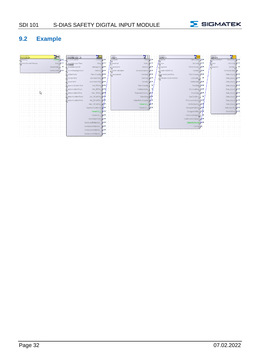

#### <span id="page-33-0"></span>**9.2 Example**

| NyControl<br>terControl1                   | eronManager<br>VerenManager 21 |                        | V10211            |                   | SCP011                |                         |  | SDM 011       |                 |  |
|--------------------------------------------|--------------------------------|------------------------|-------------------|-------------------|-----------------------|-------------------------|--|---------------|-----------------|--|
| Control<br>RtDebug                         | o HwControl                    | Control                | Varanin           | State             | Sdiasin               | ClassState              |  | SciasSafetvin | ClassState      |  |
| SafetyDomainTimeout<br>State <sup>23</sup> | /erenManagerTime<br>1000000    | State                  | hen ired          | Online            |                       | Deviceible <sup>4</sup> |  |               | DeviceID        |  |
| ÷.<br><b>DiasMaster</b>                    | VaranManagerNr                 | ManagerOn @ @          | <b>UserAction</b> | Release @ *       | Required              | FPGAVersion & *         |  | tequired      | SerialNo        |  |
| SafetyState & *                            | PreventManagerError            | Release<br>m +         | SerNnValidation   | DeviceAddress 44  | &ddfinnelSPDOs        | SerialNo 4+             |  |               | SafetyNumber    |  |
|                                            | <b>IsoStartPoint</b>           | RetryCounter <b>△●</b> | Transparent       | VendorD @ *       | ServerLindateTime     | RetryCounter 4          |  |               | Safe Input1     |  |
|                                            | <b>IRQTaskTime</b>             | IsoVaranTime           |                   | DeviceD di +      | ActivateFastUnsafelOs | LEDControl              |  |               | Safe_Input2     |  |
|                                            | <b>IsAlsoClient</b>            | AsyVaranTime <b>△●</b> |                   | SerialNo &        |                       | SafetyState 4           |  |               | Safe Input3 [A] |  |
|                                            |                                |                        |                   |                   |                       |                         |  |               |                 |  |
|                                            | SuperiorSystemTime             | Act RiTime 0 ·         |                   | RetryCounter      |                       | RunState C +            |  |               | Safe Input4     |  |
|                                            | SafetylsoMemRead               | Min_RtTime             |                   | ValidateSerNo     |                       | ServiceMode 4           |  |               | Safe_Input5     |  |
|                                            | SafetylsoMemWirke              | Max RtTime             |                   | FirmwareVersion   |                       | ErrorState & *          |  |               | Safe Input      |  |
|                                            | SafetyAsyMemRead               | Act_RtCalTime D        |                   | SciasState        |                       | QuitComError            |  |               | Safe_Input7     |  |
|                                            |                                |                        |                   |                   |                       |                         |  |               |                 |  |
|                                            | Safety AsyMerri/Wite           | Min RtCollTime 4       |                   | SciesRetryCounter |                       | Financiare Version 4    |  |               | Safe_Input8     |  |
|                                            |                                | Max_RtCallTime         |                   | SdasOut           |                       | SafetyNumber 4          |  |               | Safe Input9     |  |
|                                            |                                |                        |                   |                   |                       |                         |  |               |                 |  |
|                                            |                                | Superior SystemOP      |                   | Varano            |                       | DesignerPriName         |  |               | Safe Input10    |  |
|                                            |                                | VaranOut 1             |                   |                   |                       | DesignerPriRev          |  |               | SafelOError     |  |
|                                            |                                |                        |                   |                   |                       |                         |  |               |                 |  |
|                                            |                                | VaranOut 2             |                   |                   |                       | FastUnsafelnput         |  |               |                 |  |
|                                            |                                | SafetyMemState         |                   |                   |                       | FastUnsafeOutputs       |  |               |                 |  |
|                                            |                                |                        |                   |                   |                       |                         |  |               |                 |  |
|                                            |                                | SafetylsoRdMemUs.      |                   |                   |                       | SdiasSafetyOut          |  |               |                 |  |
|                                            |                                |                        |                   |                   |                       |                         |  |               |                 |  |
|                                            |                                | SafetylsoWitMemUs      |                   |                   |                       | CanOL                   |  |               |                 |  |
|                                            |                                |                        |                   |                   |                       |                         |  |               |                 |  |
|                                            |                                | Safety AsyRoMemL       |                   |                   |                       |                         |  |               |                 |  |
|                                            |                                |                        |                   |                   |                       |                         |  |               |                 |  |
|                                            |                                |                        |                   |                   |                       |                         |  |               |                 |  |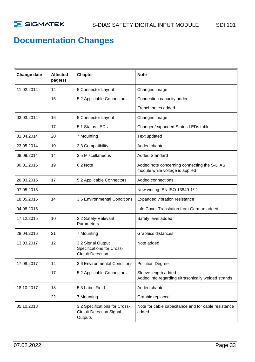## **Documentation Changes**

| Change date | Affected<br>page(s) | Chapter                                                                     | <b>Note</b>                                                                    |
|-------------|---------------------|-----------------------------------------------------------------------------|--------------------------------------------------------------------------------|
| 11.02.2014  | 14                  | 5 Connector Layout                                                          | Changed image                                                                  |
|             | 15                  | 5.2 Applicable Connectors                                                   | Connection capacity added                                                      |
|             |                     |                                                                             | French notes added                                                             |
| 03.03.2014  | 16                  | 5 Connector Layout                                                          | Changed image                                                                  |
|             | 17                  | 5.1 Status LEDs                                                             | Changed/expanded Status LEDs table                                             |
| 01.04.2014  | 20                  | 7 Mounting                                                                  | Text updated                                                                   |
| 23.05.2014  | 10                  | 2.3 Compatibility                                                           | Added chapter                                                                  |
| 08.09.2014  | 14                  | 3.5 Miscellaneous                                                           | <b>Added Standard</b>                                                          |
| 30.01.2015  | 19                  | 6.2 Note                                                                    | Added note concerning connecting the S-DIAS<br>module while voltage is applied |
| 26.03.2015  | 17                  | 5.2 Applicable Connectors                                                   | Added connections                                                              |
| 07.05.2015  |                     |                                                                             | New writing: EN ISO 13849-1/-2                                                 |
| 18.05.2015  | 14                  | 3.6 Environmental Conditions                                                | Expanded vibration resistance                                                  |
| 04.08.2015  |                     |                                                                             | Info Cover Translation from German added                                       |
| 17.12.2015  | 10                  | 2.2 Safety-Relevant<br>Parameters                                           | Safety level added                                                             |
| 28.04.2016  | 21                  | 7 Mounting                                                                  | Graphics distances                                                             |
| 13.03.2017  | 12                  | 3.2 Signal Output<br>Specifications for Cross-<br><b>Circuit Detection</b>  | Note added                                                                     |
| 17.08.2017  | 14                  | 3.6 Environmental Conditions                                                | <b>Pollution Degree</b>                                                        |
|             | 17                  | 5.2 Applicable Connectors                                                   | Sleeve length added<br>Added info regarding ultrasonically welded strands      |
| 18.10.2017  | 18                  | 5.3 Label Field                                                             | Added chapter                                                                  |
|             | 22                  | 7 Mounting                                                                  | Graphic replaced                                                               |
| 05.10.2018  |                     | 3.2 Specifications for Cross-<br><b>Circuit Detection Signal</b><br>Outputs | Note for cable capacitance and for cable resistance<br>added                   |